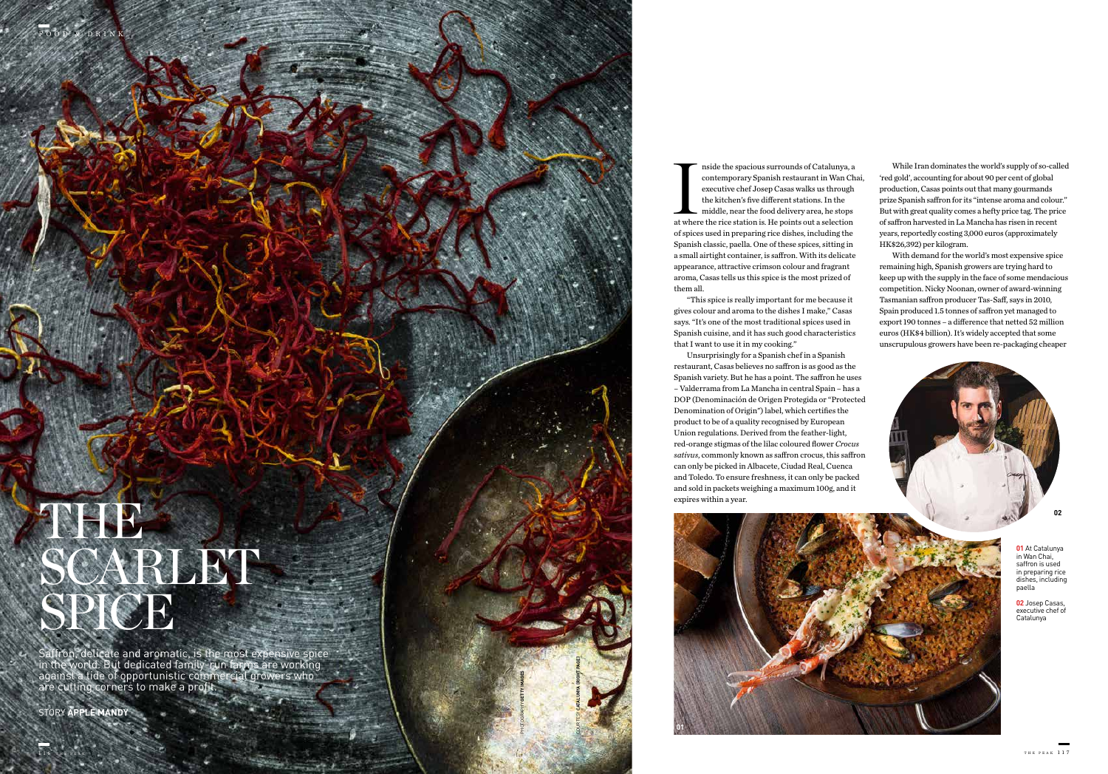**01** At Catalunya in Wan Chai, saffron is used in preparing rice dishes, including paella

**02** Josep Casas, executive chef of Catalunya

COURTESY **CATALUNYA (RIGHT PAGE)**

FOOD & DRINK

PHOTOGRAPHY **GETTY IMAGES**

Inside the spacious surrounds of Catalunya, a<br>contemporary Spanish restaurant in Wan C<br>executive chef Josep Casas walks us through<br>the kitchen's five different stations. In the<br>middle, near the food delivery area, he stops nside the spacious surrounds of Catalunya, a contemporary Spanish restaurant in Wan Chai, executive chef Josep Casas walks us through the kitchen's five different stations. In the middle, near the food delivery area, he stops of spices used in preparing rice dishes, including the Spanish classic, paella. One of these spices, sitting in a small airtight container, is saffron. With its delicate appearance, attractive crimson colour and fragrant aroma, Casas tells us this spice is the most prized of them all.

# THE. SCARLET! SPICE

"This spice is really important for me because it gives colour and aroma to the dishes I make," Casas says. "It's one of the most traditional spices used in Spanish cuisine, and it has such good characteristics that I want to use it in my cooking."

Unsurprisingly for a Spanish chef in a Spanish restaurant, Casas believes no saffron is as good as the Spanish variety. But he has a point. The saffron he uses – Valderrama from La Mancha in central Spain – has a DOP (Denominación de Origen Protegida or "Protected Denomination of Origin") label, which certifies the product to be of a quality recognised by European Union regulations. Derived from the feather-light, red-orange stigmas of the lilac coloured flower *Crocus sativus*, commonly known as saffron crocus, this saffron can only be picked in Albacete, Ciudad Real, Cuenca and Toledo. To ensure freshness, it can only be packed and sold in packets weighing a maximum 100g, and it expires within a year.





Saffron, delicate and aromatic, is the most expensive spice in the world. But dedicated family-run farms are working against a tide of opportunistic commercial growers who are cutting corners to make a profit.

STORY **APPLE MANDY**

While Iran dominates the world's supply of so-called 'red gold', accounting for about 90 per cent of global production, Casas points out that many gourmands prize Spanish saffron for its "intense aroma and colour." But with great quality comes a hefty price tag. The price of saffron harvested in La Mancha has risen in recent years, reportedly costing 3,000 euros (approximately HK\$26,392) per kilogram.

With demand for the world's most expensive spice remaining high, Spanish growers are trying hard to keep up with the supply in the face of some mendacious competition. Nicky Noonan, owner of award-winning Tasmanian saffron producer Tas-Saff, says in 2010, Spain produced 1.5 tonnes of saffron yet managed to export 190 tonnes – a difference that netted 52 million euros (HK\$4 billion). It's widely accepted that some unscrupulous growers have been re-packaging cheaper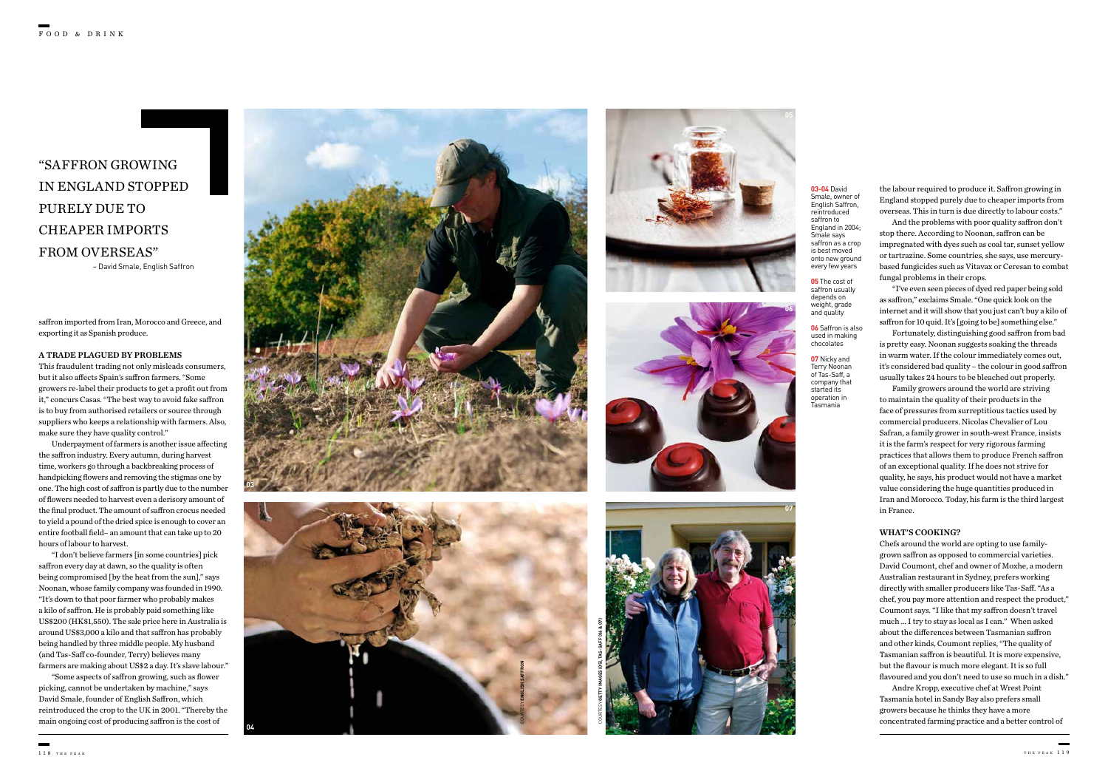## "SAFFRON GROWING IN ENGLAND STOPPED PURELY DUE TO CHEAPER IMPORTS FROM OVERSEAS"

– David Smale, English Saffron

**03-04** David Smale, owner of English Saffron, reintroduced saffron to England in 2004; Smale says saffron as a crop is best moved onto new ground every few years

**05** The cost of saffron usually depends on weight, grade and quality

**06** Saffron is also used in making chocolates

**07** Nicky and Terry Noonan of Tas-Saff, a company that started its operation in Tasmania

saffron imported from Iran, Morocco and Greece, and exporting it as Spanish produce.

#### A TRADE PLAGUED BY PROBLEMS

This fraudulent trading not only misleads consumers, but it also affects Spain's saffron farmers. "Some growers re-label their products to get a profit out from it," concurs Casas. "The best way to avoid fake saffron is to buy from authorised retailers or source through suppliers who keeps a relationship with farmers. Also, make sure they have quality control."

Underpayment of farmers is another issue affecting the saffron industry. Every autumn, during harvest time, workers go through a backbreaking process of handpicking flowers and removing the stigmas one by one. The high cost of saffron is partly due to the number of flowers needed to harvest even a derisory amount of the final product. The amount of saffron crocus needed to yield a pound of the dried spice is enough to cover an entire football field– an amount that can take up to 20 hours of labour to harvest.

"I don't believe farmers [in some countries] pick saffron every day at dawn, so the quality is often being compromised [by the heat from the sun]," says Noonan, whose family company was founded in 1990. "It's down to that poor farmer who probably makes a kilo of saffron. He is probably paid something like US\$200 (HK\$1,550). The sale price here in Australia is around US\$3,000 a kilo and that saffron has probably being handled by three middle people. My husband (and Tas-Saff co-founder, Terry) believes many farmers are making about US\$2 a day. It's slave labour."

"Some aspects of saffron growing, such as flower picking, cannot be undertaken by machine," says David Smale, founder of English Saffron, which reintroduced the crop to the UK in 2001. "Thereby the main ongoing cost of producing saffron is the cost of

the labour required to produce it. Saffron growing in England stopped purely due to cheaper imports from overseas. This in turn is due directly to labour costs."

And the problems with poor quality saffron don't stop there. According to Noonan, saffron can be impregnated with dyes such as coal tar, sunset yellow or tartrazine. Some countries, she says, use mercurybased fungicides such as Vitavax or Ceresan to combat fungal problems in their crops.

"I've even seen pieces of dyed red paper being sold as saffron," exclaims Smale. "One quick look on the internet and it will show that you just can't buy a kilo of saffron for 10 quid. It's [going to be] something else."

Fortunately, distinguishing good saffron from bad is pretty easy. Noonan suggests soaking the threads in warm water. If the colour immediately comes out, it's considered bad quality – the colour in good saffron usually takes 24 hours to be bleached out properly.

Family growers around the world are striving to maintain the quality of their products in the face of pressures from surreptitious tactics used by commercial producers. Nicolas Chevalier of Lou Safran, a family grower in south-west France, insists it is the farm's respect for very rigorous farming practices that allows them to produce French saffron of an exceptional quality. If he does not strive for quality, he says, his product would not have a market value considering the huge quantities produced in Iran and Morocco. Today, his farm is the third largest in France.

#### WHAT'S COOKING?

Chefs around the world are opting to use familygrown saffron as opposed to commercial varieties. David Coumont, chef and owner of Moxhe, a modern Australian restaurant in Sydney, prefers working directly with smaller producers like Tas-Saff. "As a chef, you pay more attention and respect the product," Coumont says. "I like that my saffron doesn't travel much … I try to stay as local as I can." When asked about the differences between Tasmanian saffron and other kinds, Coumont replies, "The quality of Tasmanian saffron is beautiful. It is more expensive, but the flavour is much more elegant. It is so full flavoured and you don't need to use so much in a dish."

Andre Kropp, executive chef at Wrest Point Tasmania hotel in Sandy Bay also prefers small growers because he thinks they have a more concentrated farming practice and a better control of